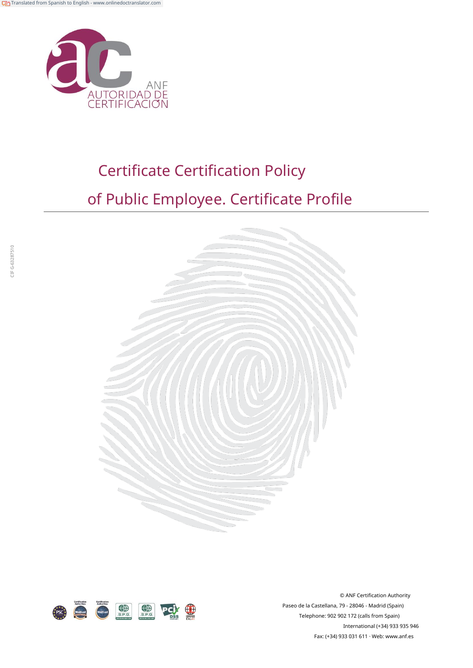

# Certificate Certification Policy

## of Public Employee. Certificate Profile





© ANF Certification Authority Paseo de la Castellana, 79 - 28046 - Madrid (Spain) Telephone: 902 902 172 (calls from Spain) International (+34) 933 935 946 Fax: (+34) 933 031 611 · Web: ww[w.anf.es](http://www.anf.es/)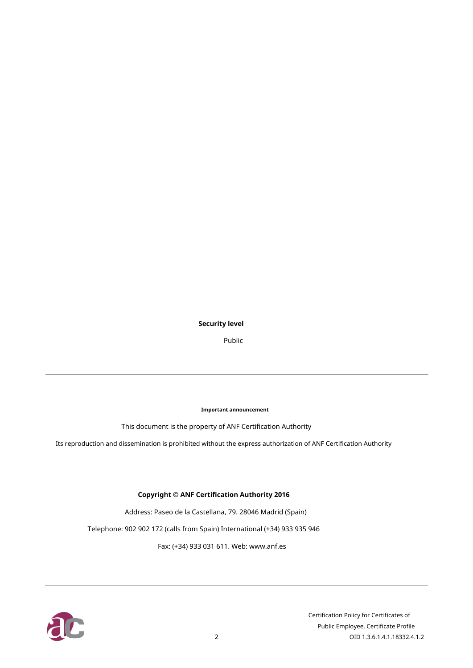#### **Security level**

Public

**Important announcement**

This document is the property of ANF Certification Authority

Its reproduction and dissemination is prohibited without the express authorization of ANF Certification Authority

#### **Copyright © ANF Certification Authority 2016**

Address: Paseo de la Castellana, 79. 28046 Madrid (Spain)

Telephone: 902 902 172 (calls from Spain) International (+34) 933 935 946

Fax: (+34) 933 031 611. Web: www.a[nf.es](http://www.anf.es/)

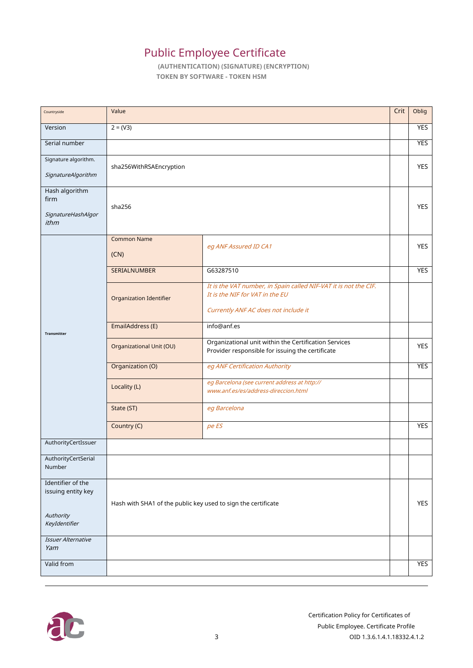### Public Employee Certificate

**(AUTHENTICATION) (SIGNATURE) (ENCRYPTION) TOKEN BY SOFTWARE - TOKEN HSM**

| Countryside                                          | Value                                                         |                                                                                                                                             | Crit | Oblig      |
|------------------------------------------------------|---------------------------------------------------------------|---------------------------------------------------------------------------------------------------------------------------------------------|------|------------|
| Version                                              | $2 = (V3)$                                                    |                                                                                                                                             |      | YES        |
| Serial number                                        |                                                               |                                                                                                                                             |      | <b>YES</b> |
| Signature algorithm.<br>SignatureAlgorithm           | sha256WithRSAEncryption                                       |                                                                                                                                             |      | YES        |
| Hash algorithm<br>firm<br>SignatureHashAlgor<br>ithm | sha256                                                        |                                                                                                                                             |      | <b>YES</b> |
|                                                      | <b>Common Name</b>                                            | eg ANF Assured ID CA1                                                                                                                       |      | <b>YES</b> |
|                                                      | (CN)                                                          |                                                                                                                                             |      |            |
|                                                      | <b>SERIALNUMBER</b>                                           | G63287510                                                                                                                                   |      | YES        |
| Transmitter                                          | Organization Identifier                                       | It is the VAT number, in Spain called NIF-VAT it is not the CIF.<br>It is the NIF for VAT in the EU<br>Currently ANF AC does not include it |      |            |
|                                                      | EmailAddress (E)                                              | info@anf.es                                                                                                                                 |      |            |
|                                                      | <b>Organizational Unit (OU)</b>                               | Organizational unit within the Certification Services<br>Provider responsible for issuing the certificate                                   |      | YES        |
|                                                      | Organization (O)                                              | eg ANF Certification Authority                                                                                                              |      | <b>YES</b> |
|                                                      | Locality (L)                                                  | eg Barcelona (see current address at http://<br>www.anf.es/es/address-direccion.html                                                        |      |            |
|                                                      | State (ST)                                                    | eg Barcelona                                                                                                                                |      |            |
|                                                      | Country (C)                                                   | pe ES                                                                                                                                       |      | <b>YES</b> |
| AuthorityCertIssuer                                  |                                                               |                                                                                                                                             |      |            |
| AuthorityCertSerial<br>Number                        |                                                               |                                                                                                                                             |      |            |
| Identifier of the<br>issuing entity key              |                                                               |                                                                                                                                             |      |            |
| Authority<br>KeyIdentifier                           | Hash with SHA1 of the public key used to sign the certificate |                                                                                                                                             |      | YES        |
| Issuer Alternative<br>Yam                            |                                                               |                                                                                                                                             |      |            |
| Valid from                                           |                                                               |                                                                                                                                             |      | <b>YES</b> |

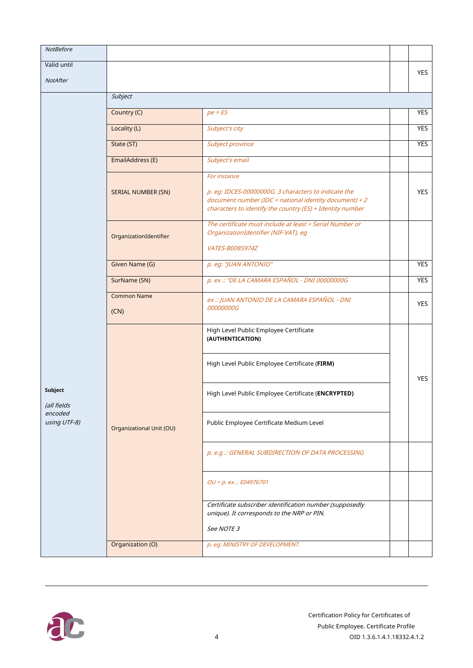| <b>NotBefore</b>        |                                 |                                                                                                                                                                                             |            |
|-------------------------|---------------------------------|---------------------------------------------------------------------------------------------------------------------------------------------------------------------------------------------|------------|
| Valid until             |                                 |                                                                                                                                                                                             | <b>YES</b> |
| NotAfter                |                                 |                                                                                                                                                                                             |            |
|                         | Subject                         |                                                                                                                                                                                             |            |
|                         | Country (C)                     | $pe = ES$                                                                                                                                                                                   | <b>YES</b> |
|                         | Locality (L)                    | Subject's city                                                                                                                                                                              | <b>YES</b> |
|                         | State (ST)                      | Subject province                                                                                                                                                                            | <b>YES</b> |
|                         | EmailAddress (E)                | Subject's email                                                                                                                                                                             |            |
|                         |                                 |                                                                                                                                                                                             |            |
|                         | <b>SERIAL NUMBER (SN)</b>       | For instance<br>p. eg: IDCES-00000000G. 3 characters to indicate the<br>document number (IDC = national identity document) + 2<br>characters to identify the country (ES) + Identity number | <b>YES</b> |
|                         | OrganizationIdentifier          | The certificate must include at least = Serial Number or<br>OrganizationIdentifier (NIF-VAT), eg                                                                                            |            |
|                         |                                 | VATES-B0085974Z                                                                                                                                                                             |            |
|                         | Given Name (G)                  | p. eg: "JUAN ANTONIO"                                                                                                                                                                       | <b>YES</b> |
|                         | SurName (SN)                    | p. ex .: "DE LA CAMARA ESPAÑOL - DNI 00000000G                                                                                                                                              | <b>YES</b> |
|                         | <b>Common Name</b><br>(CN)      | ex .: JUAN ANTONIO DE LA CAMARA ESPAÑOL - DNI<br>00000000G                                                                                                                                  | <b>YES</b> |
|                         |                                 | High Level Public Employee Certificate<br>(AUTHENTICATION)                                                                                                                                  |            |
|                         |                                 | High Level Public Employee Certificate (FIRM)                                                                                                                                               | <b>YES</b> |
| Subject<br>(all fields  |                                 | High Level Public Employee Certificate (ENCRYPTED)                                                                                                                                          |            |
| encoded<br>using UTF-8) | <b>Organizational Unit (OU)</b> | Public Employee Certificate Medium Level                                                                                                                                                    |            |
|                         |                                 | p. e.g .: GENERAL SUBDIRECTION OF DATA PROCESSING                                                                                                                                           |            |
|                         |                                 | $OU = p. ex :: E04976701$                                                                                                                                                                   |            |
|                         |                                 | Certificate subscriber identification number (supposedly<br>unique). It corresponds to the NRP or PIN.                                                                                      |            |
|                         |                                 | See NOTE 3                                                                                                                                                                                  |            |
|                         | Organization (O)                | p. eg: MINISTRY OF DEVELOPMENT.                                                                                                                                                             |            |

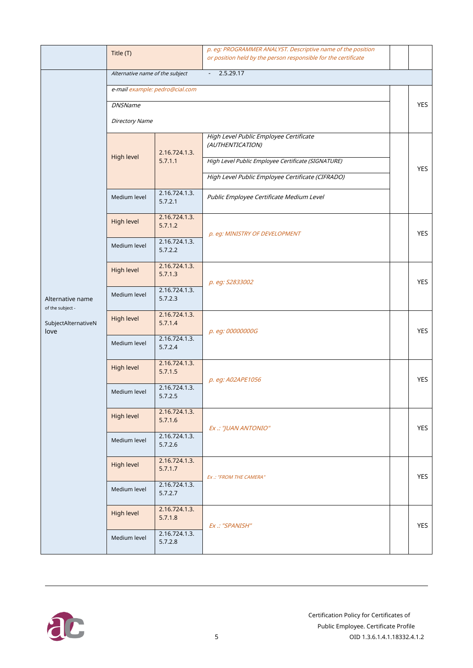|                                      | Title (T)                                                                 |                          | p. eg: PROGRAMMER ANALYST. Descriptive name of the position<br>or position held by the person responsible for the certificate |            |  |  |  |
|--------------------------------------|---------------------------------------------------------------------------|--------------------------|-------------------------------------------------------------------------------------------------------------------------------|------------|--|--|--|
|                                      | 2.5.29.17<br>Alternative name of the subject<br>$\mathbb{Z}^{\mathbb{Z}}$ |                          |                                                                                                                               |            |  |  |  |
|                                      | e-mail example: pedro@cial.com                                            |                          |                                                                                                                               |            |  |  |  |
|                                      | <b>DNSName</b>                                                            |                          |                                                                                                                               |            |  |  |  |
|                                      | <b>Directory Name</b>                                                     |                          |                                                                                                                               |            |  |  |  |
|                                      | High level                                                                | 2.16.724.1.3.            | High Level Public Employee Certificate<br>(AUTHENTICATION)                                                                    |            |  |  |  |
|                                      |                                                                           | 5.7.1.1                  | High Level Public Employee Certificate (SIGNATURE)                                                                            | <b>YES</b> |  |  |  |
|                                      |                                                                           |                          | High Level Public Employee Certificate (CIFRADO)                                                                              |            |  |  |  |
|                                      | Medium level                                                              | 2.16.724.1.3.<br>5.7.2.1 | Public Employee Certificate Medium Level                                                                                      |            |  |  |  |
|                                      | High level                                                                | 2.16.724.1.3.<br>5.7.1.2 | p. eg: MINISTRY OF DEVELOPMENT                                                                                                | <b>YES</b> |  |  |  |
|                                      | Medium level                                                              | 2.16.724.1.3.<br>5.7.2.2 |                                                                                                                               |            |  |  |  |
|                                      | High level                                                                | 2.16.724.1.3.<br>5.7.1.3 | p. eg: S2833002                                                                                                               | <b>YES</b> |  |  |  |
| Alternative name<br>of the subject - | Medium level                                                              | 2.16.724.1.3.<br>5.7.2.3 |                                                                                                                               |            |  |  |  |
| SubjectAlternativeN<br>love          | High level                                                                | 2.16.724.1.3.<br>5.7.1.4 | p. eg: 00000000G                                                                                                              | <b>YES</b> |  |  |  |
|                                      | Medium level                                                              | 2.16.724.1.3.<br>5.7.2.4 |                                                                                                                               |            |  |  |  |
|                                      | High level                                                                | 2.16.724.1.3.<br>5.7.1.5 | p. eg: A02APE1056                                                                                                             | <b>YES</b> |  |  |  |
|                                      | Medium level                                                              | 2.16.724.1.3.<br>5.7.2.5 |                                                                                                                               |            |  |  |  |
|                                      | High level                                                                | 2.16.724.1.3.<br>5.7.1.6 | Ex .: "JUAN ANTONIO"                                                                                                          | <b>YES</b> |  |  |  |
|                                      | Medium level                                                              | 2.16.724.1.3.<br>5.7.2.6 |                                                                                                                               |            |  |  |  |
|                                      | High level                                                                | 2.16.724.1.3.<br>5.7.1.7 | Ex .: "FROM THE CAMERA"                                                                                                       | <b>YES</b> |  |  |  |
|                                      | Medium level                                                              | 2.16.724.1.3.<br>5.7.2.7 |                                                                                                                               |            |  |  |  |
|                                      | High level                                                                | 2.16.724.1.3.<br>5.7.1.8 | Ex .: "SPANISH"                                                                                                               | <b>YES</b> |  |  |  |
|                                      | Medium level                                                              | 2.16.724.1.3.<br>5.7.2.8 |                                                                                                                               |            |  |  |  |

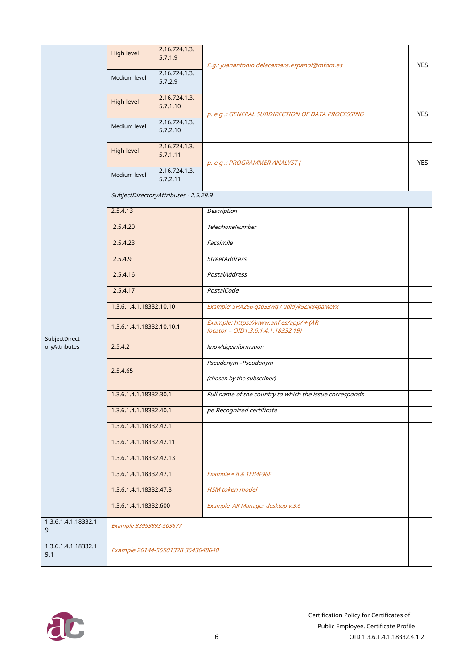|                            | High level                | 2.16.724.1.3.<br>5.7.1.9              | E.g.: juanantonio.delacamara.espanol@mfom.es                                 |  | <b>YES</b> |
|----------------------------|---------------------------|---------------------------------------|------------------------------------------------------------------------------|--|------------|
|                            | Medium level              | 2.16.724.1.3.<br>5.7.2.9              |                                                                              |  |            |
|                            | High level                | 2.16.724.1.3.<br>5.7.1.10             | p. e.g .: GENERAL SUBDIRECTION OF DATA PROCESSING                            |  | <b>YES</b> |
|                            | Medium level              | 2.16.724.1.3.<br>5.7.2.10             |                                                                              |  |            |
|                            | High level                | 2.16.724.1.3.<br>5.7.1.11             | p. e.g .: PROGRAMMER ANALYST (                                               |  | <b>YES</b> |
|                            | Medium level              | 2.16.724.1.3.<br>5.7.2.11             |                                                                              |  |            |
|                            |                           | SubjectDirectoryAttributes - 2.5.29.9 |                                                                              |  |            |
|                            | 2.5.4.13                  |                                       | Description                                                                  |  |            |
|                            | 2.5.4.20                  |                                       | TelephoneNumber                                                              |  |            |
|                            | 2.5.4.23                  |                                       | Facsimile                                                                    |  |            |
|                            | 2.5.4.9                   |                                       | <b>StreetAddress</b>                                                         |  |            |
|                            | 2.5.4.16                  |                                       | <b>PostalAddress</b>                                                         |  |            |
|                            | 2.5.4.17                  |                                       | PostalCode                                                                   |  |            |
|                            | 1.3.6.1.4.1.18332.10.10   |                                       | Example: SHA256-gsq33wq / udldyk5ZN84paMeYx                                  |  |            |
| SubjectDirect              | 1.3.6.1.4.1.18332.10.10.1 |                                       | Example: https://www.anf.es/app/ + (AR<br>locator = OID1.3.6.1.4.1.18332.19) |  |            |
| oryAttributes              | 2.5.4.2                   |                                       | knowldgeinformation                                                          |  |            |
|                            | 2.5.4.65                  |                                       | Pseudonym -Pseudonym                                                         |  |            |
|                            |                           |                                       | (chosen by the subscriber)                                                   |  |            |
|                            | 1.3.6.1.4.1.18332.30.1    |                                       | Full name of the country to which the issue corresponds                      |  |            |
|                            | 1.3.6.1.4.1.18332.40.1    |                                       | pe Recognized certificate                                                    |  |            |
|                            | 1.3.6.1.4.1.18332.42.1    |                                       |                                                                              |  |            |
|                            | 1.3.6.1.4.1.18332.42.11   |                                       |                                                                              |  |            |
|                            | 1.3.6.1.4.1.18332.42.13   |                                       |                                                                              |  |            |
|                            | 1.3.6.1.4.1.18332.47.1    |                                       | Example = $8 & 1EB4F96F$                                                     |  |            |
|                            | 1.3.6.1.4.1.18332.47.3    |                                       | <b>HSM</b> token model                                                       |  |            |
|                            | 1.3.6.1.4.1.18332.600     |                                       | Example: AR Manager desktop v.3.6                                            |  |            |
| 1.3.6.1.4.1.18332.1<br>9   | Example 33993893-503677   |                                       |                                                                              |  |            |
| 1.3.6.1.4.1.18332.1<br>9.1 |                           | Example 26144-56501328 3643648640     |                                                                              |  |            |

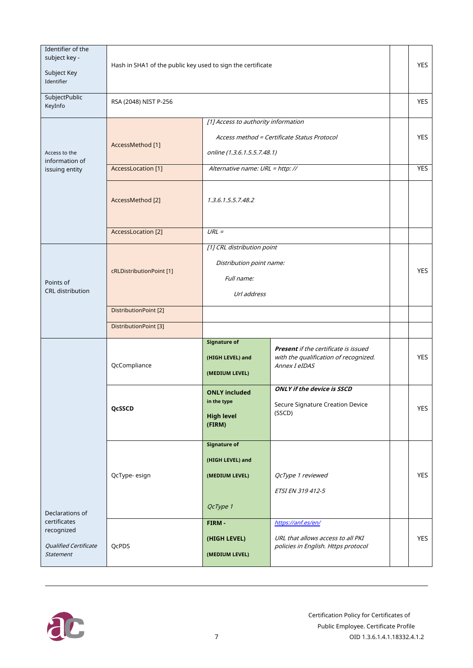| Identifier of the<br>subject key -<br>Subject Key<br>Identifier | Hash in SHA1 of the public key used to sign the certificate |                                                                                     |                                                                                                |  | <b>YES</b> |
|-----------------------------------------------------------------|-------------------------------------------------------------|-------------------------------------------------------------------------------------|------------------------------------------------------------------------------------------------|--|------------|
| SubjectPublic<br>KeyInfo                                        | RSA (2048) NIST P-256                                       |                                                                                     |                                                                                                |  | <b>YES</b> |
|                                                                 |                                                             | [1] Access to authority information                                                 |                                                                                                |  |            |
|                                                                 |                                                             |                                                                                     | Access method = Certificate Status Protocol                                                    |  | <b>YES</b> |
| Access to the<br>information of                                 | AccessMethod [1]                                            | online (1.3.6.1.5.5.7.48.1)                                                         |                                                                                                |  |            |
| issuing entity                                                  | AccessLocation [1]                                          | Alternative name: URL = http: //                                                    |                                                                                                |  | YES        |
|                                                                 | 1.3.6.1.5.5.7.48.2<br>AccessMethod [2]                      |                                                                                     |                                                                                                |  |            |
|                                                                 | <b>AccessLocation</b> [2]                                   | $URL =$                                                                             |                                                                                                |  |            |
| Points of<br><b>CRL</b> distribution                            | cRLDistributionPoint [1]                                    | [1] CRL distribution point<br>Distribution point name:<br>Full name:<br>Url address |                                                                                                |  | <b>YES</b> |
|                                                                 | DistributionPoint [2]                                       |                                                                                     |                                                                                                |  |            |
|                                                                 | DistributionPoint [3]                                       |                                                                                     |                                                                                                |  |            |
| Declarations of<br>certificates                                 | QcCompliance                                                | <b>Signature of</b><br>(HIGH LEVEL) and<br>(MEDIUM LEVEL)                           | Present if the certificate is issued<br>with the qualification of recognized.<br>Annex I eIDAS |  | <b>YES</b> |
|                                                                 | QcSSCD                                                      | <b>ONLY included</b><br>in the type<br><b>High level</b><br>(FIRM)                  | <b>ONLY if the device is SSCD</b><br>Secure Signature Creation Device<br>(SSCD)                |  | YES        |
|                                                                 | QcType-esign                                                | Signature of<br>(HIGH LEVEL) and<br>(MEDIUM LEVEL)<br>QcType 1<br>FIRM-             | QcType 1 reviewed<br>ETSI EN 319 412-5<br>https://anf.es/en/                                   |  | YES        |
| recognized<br>Qualified Certificate<br>Statement                | QcPDS                                                       | (HIGH LEVEL)<br>(MEDIUM LEVEL)                                                      | URL that allows access to all PKI<br>policies in English. Https protocol                       |  | <b>YES</b> |

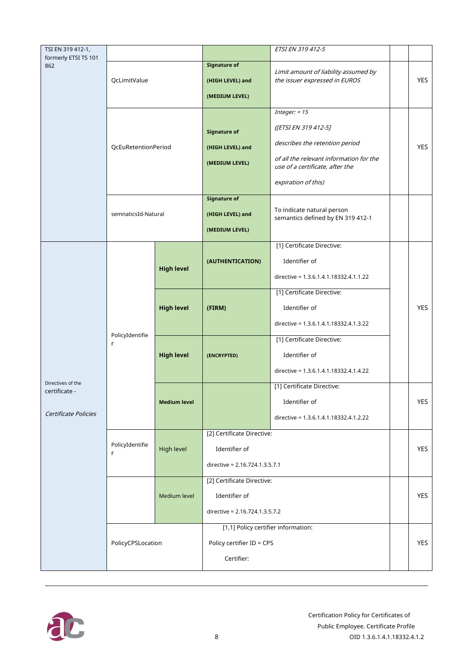| TSI EN 319 412-1,                  |                      |                     |                                     | ETSI EN 319 412-5                       |            |
|------------------------------------|----------------------|---------------------|-------------------------------------|-----------------------------------------|------------|
| formerly ETSI TS 101               |                      |                     | <b>Signature of</b>                 |                                         |            |
| 862                                | QcLimitValue         |                     |                                     | Limit amount of liability assumed by    |            |
|                                    |                      |                     | (HIGH LEVEL) and                    | the issuer expressed in EUROS           | YES        |
|                                    |                      |                     | (MEDIUM LEVEL)                      |                                         |            |
|                                    |                      |                     |                                     | Integer: $= 15$                         |            |
|                                    |                      |                     | <b>Signature of</b>                 | ([ETSI EN 319 412-5]                    |            |
|                                    | QcEuRetentionPeriod  |                     | (HIGH LEVEL) and                    | describes the retention period          | <b>YES</b> |
|                                    |                      |                     | (MEDIUM LEVEL)                      | of all the relevant information for the |            |
|                                    |                      |                     |                                     | use of a certificate, after the         |            |
|                                    |                      |                     |                                     | expiration of this)                     |            |
|                                    |                      |                     | <b>Signature of</b>                 | To indicate natural person              |            |
|                                    | semnaticsId-Natural  |                     | (HIGH LEVEL) and                    | semantics defined by EN 319 412-1       |            |
|                                    |                      |                     | (MEDIUM LEVEL)                      |                                         |            |
|                                    |                      |                     |                                     | [1] Certificate Directive:              |            |
|                                    | PolicyIdentifie<br>r | <b>High level</b>   | (AUTHENTICATION)                    | Identifier of                           |            |
|                                    |                      |                     |                                     | directive = 1.3.6.1.4.1.18332.4.1.1.22  |            |
|                                    |                      | <b>High level</b>   |                                     | [1] Certificate Directive:              |            |
|                                    |                      |                     | (FIRM)                              | Identifier of                           | <b>YES</b> |
|                                    |                      |                     |                                     | directive = 1.3.6.1.4.1.18332.4.1.3.22  |            |
|                                    |                      | <b>High level</b>   |                                     | [1] Certificate Directive:              |            |
|                                    |                      |                     | (ENCRYPTED)                         | Identifier of                           |            |
|                                    |                      |                     |                                     | directive = 1.3.6.1.4.1.18332.4.1.4.22  |            |
| Directives of the<br>certificate - |                      | <b>Medium level</b> |                                     | [1] Certificate Directive:              |            |
|                                    |                      |                     |                                     | Identifier of                           | YES        |
| Certificate Policies               |                      |                     |                                     | directive = 1.3.6.1.4.1.18332.4.1.2.22  |            |
|                                    |                      |                     | [2] Certificate Directive:          |                                         |            |
|                                    | PolicyIdentifie<br>r | <b>High level</b>   | Identifier of                       |                                         | <b>YES</b> |
|                                    |                      |                     | directive = 2.16.724.1.3.5.7.1      |                                         |            |
|                                    |                      |                     | [2] Certificate Directive:          |                                         |            |
|                                    |                      | Medium level        | Identifier of                       |                                         | <b>YES</b> |
|                                    |                      |                     | directive = 2.16.724.1.3.5.7.2      |                                         |            |
|                                    | PolicyCPSLocation    |                     | [1,1] Policy certifier information: |                                         |            |
|                                    |                      |                     | Policy certifier ID = CPS           |                                         | <b>YES</b> |
|                                    |                      |                     | Certifier:                          |                                         |            |
|                                    |                      |                     |                                     |                                         |            |

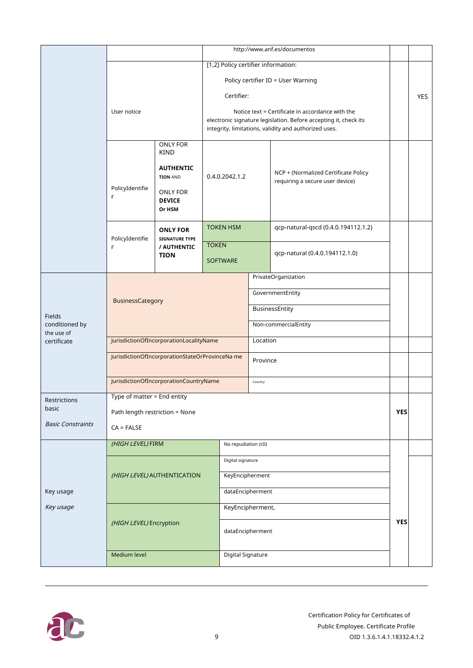|                              |                                                 |                                                               | http://www.anf.es/documentos                                                                                                                                                  |                          |                                                                         |            |            |
|------------------------------|-------------------------------------------------|---------------------------------------------------------------|-------------------------------------------------------------------------------------------------------------------------------------------------------------------------------|--------------------------|-------------------------------------------------------------------------|------------|------------|
|                              |                                                 |                                                               | [1,2] Policy certifier information:                                                                                                                                           |                          |                                                                         |            |            |
|                              |                                                 |                                                               |                                                                                                                                                                               |                          | Policy certifier ID = User Warning                                      |            |            |
|                              | User notice                                     |                                                               | Certifier:                                                                                                                                                                    |                          |                                                                         |            | <b>YES</b> |
|                              |                                                 |                                                               | Notice text = Certificate in accordance with the<br>electronic signature legislation. Before accepting it, check its<br>integrity, limitations, validity and authorized uses. |                          |                                                                         |            |            |
|                              |                                                 | ONLY FOR<br><b>KIND</b>                                       |                                                                                                                                                                               |                          |                                                                         |            |            |
|                              |                                                 | <b>AUTHENTIC</b><br><b>TION AND</b>                           | 0.4.0.2042.1.2                                                                                                                                                                |                          | NCP + (Normalized Certificate Policy<br>requiring a secure user device) |            |            |
|                              | PolicyIdentifie<br>r                            | <b>ONLY FOR</b><br><b>DEVICE</b><br>Or HSM                    |                                                                                                                                                                               |                          |                                                                         |            |            |
|                              | PolicyIdentifie                                 | <b>ONLY FOR</b><br><b>SIGNATURE TYPE</b>                      | <b>TOKEN HSM</b>                                                                                                                                                              |                          | qcp-natural-qscd (0.4.0.194112.1.2)                                     |            |            |
|                              | r                                               | <b>TOKEN</b><br>/ AUTHENTIC<br><b>TION</b><br><b>SOFTWARE</b> |                                                                                                                                                                               |                          | qcp-natural (0.4.0.194112.1.0)                                          |            |            |
|                              |                                                 |                                                               | PrivateOrganization                                                                                                                                                           |                          |                                                                         |            |            |
|                              | BusinessCategory                                |                                                               | GovernmentEntity                                                                                                                                                              |                          |                                                                         |            |            |
| Fields                       |                                                 |                                                               | BusinessEntity                                                                                                                                                                |                          |                                                                         |            |            |
| conditioned by<br>the use of |                                                 |                                                               | Non-commercialEntity                                                                                                                                                          |                          |                                                                         |            |            |
| certificate                  | JurisdictionOfIncorporationLocalityName         |                                                               | Location                                                                                                                                                                      |                          |                                                                         |            |            |
|                              | JurisdictionOfIncorporationStateOrProvinceNa me |                                                               | Province                                                                                                                                                                      |                          |                                                                         |            |            |
|                              | JurisdictionOfIncorporationCountryName          |                                                               |                                                                                                                                                                               | Country                  |                                                                         |            |            |
| Restrictions                 | Type of matter $=$ End entity                   |                                                               |                                                                                                                                                                               |                          |                                                                         |            |            |
| basic                        | Path length restriction = None                  |                                                               |                                                                                                                                                                               |                          |                                                                         | <b>YES</b> |            |
| <b>Basic Constraints</b>     | $CA = FALSE$                                    |                                                               |                                                                                                                                                                               |                          |                                                                         |            |            |
|                              | (HIGH LEVEL) FIRM<br>No repudiation (c0)        |                                                               |                                                                                                                                                                               |                          |                                                                         |            |            |
|                              |                                                 |                                                               | Digital signature                                                                                                                                                             |                          |                                                                         |            |            |
|                              | (HIGH LEVEL) AUTHENTICATION                     |                                                               | KeyEncipherment                                                                                                                                                               |                          |                                                                         |            |            |
| Key usage                    |                                                 | dataEncipherment                                              |                                                                                                                                                                               |                          |                                                                         |            |            |
| Key usage                    |                                                 |                                                               | KeyEncipherment,                                                                                                                                                              |                          |                                                                         |            |            |
|                              | (HIGH LEVEL) Encryption                         |                                                               | dataEncipherment                                                                                                                                                              |                          | <b>YES</b>                                                              |            |            |
|                              | Medium level                                    |                                                               |                                                                                                                                                                               | <b>Digital Signature</b> |                                                                         |            |            |